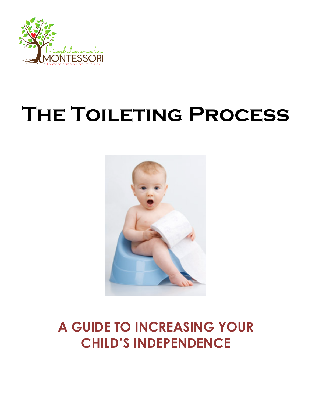

# **The Toileting Process**



### **A GUIDE TO INCREASING YOUR CHILD'S INDEPENDENCE**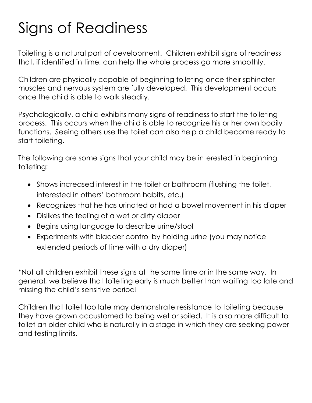## Signs of Readiness

Toileting is a natural part of development. Children exhibit signs of readiness that, if identified in time, can help the whole process go more smoothly.

Children are physically capable of beginning toileting once their sphincter muscles and nervous system are fully developed. This development occurs once the child is able to walk steadily.

Psychologically, a child exhibits many signs of readiness to start the toileting process. This occurs when the child is able to recognize his or her own bodily functions. Seeing others use the toilet can also help a child become ready to start toileting.

The following are some signs that your child may be interested in beginning toileting:

- Shows increased interest in the toilet or bathroom (flushing the toilet, interested in others' bathroom habits, etc.)
- Recognizes that he has urinated or had a bowel movement in his diaper
- Dislikes the feeling of a wet or dirty diaper
- Begins using language to describe urine/stool
- Experiments with bladder control by holding urine (you may notice extended periods of time with a dry diaper)

\*Not all children exhibit these signs at the same time or in the same way. In general, we believe that toileting early is much better than waiting too late and missing the child's sensitive period!

Children that toilet too late may demonstrate resistance to toileting because they have grown accustomed to being wet or soiled. It is also more difficult to toilet an older child who is naturally in a stage in which they are seeking power and testing limits.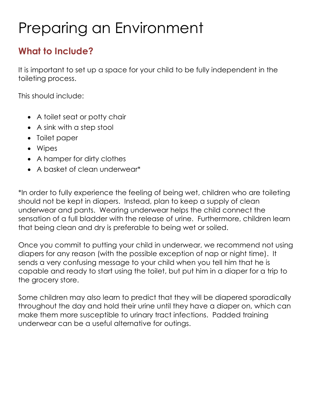## Preparing an Environment

#### **What to Include?**

It is important to set up a space for your child to be fully independent in the toileting process.

This should include:

- A toilet seat or potty chair
- A sink with a step stool
- Toilet paper
- Wipes
- A hamper for dirty clothes
- A basket of clean underwear\*

\*In order to fully experience the feeling of being wet, children who are toileting should not be kept in diapers. Instead, plan to keep a supply of clean underwear and pants. Wearing underwear helps the child connect the sensation of a full bladder with the release of urine. Furthermore, children learn that being clean and dry is preferable to being wet or soiled.

Once you commit to putting your child in underwear, we recommend not using diapers for any reason (with the possible exception of nap or night time). It sends a very confusing message to your child when you tell him that he is capable and ready to start using the toilet, but put him in a diaper for a trip to the grocery store.

Some children may also learn to predict that they will be diapered sporadically throughout the day and hold their urine until they have a diaper on, which can make them more susceptible to urinary tract infections. Padded training underwear can be a useful alternative for outings.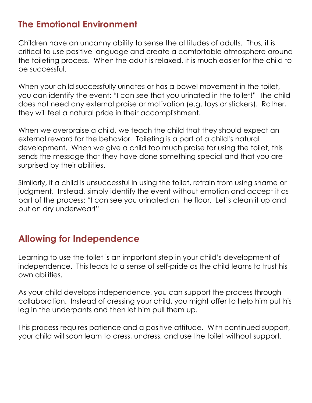#### **The Emotional Environment**

Children have an uncanny ability to sense the attitudes of adults. Thus, it is critical to use positive language and create a comfortable atmosphere around the toileting process. When the adult is relaxed, it is much easier for the child to be successful.

When your child successfully urinates or has a bowel movement in the toilet, you can identify the event: "I can see that you urinated in the toilet!" The child does not need any external praise or motivation (e.g. toys or stickers). Rather, they will feel a natural pride in their accomplishment.

When we overpraise a child, we teach the child that they should expect an external reward for the behavior. Toileting is a part of a child's natural development. When we give a child too much praise for using the toilet, this sends the message that they have done something special and that you are surprised by their abilities.

Similarly, if a child is unsuccessful in using the toilet, refrain from using shame or judgment. Instead, simply identify the event without emotion and accept it as part of the process: "I can see you urinated on the floor. Let's clean it up and put on dry underwear!"

#### **Allowing for Independence**

Learning to use the toilet is an important step in your child's development of independence. This leads to a sense of self-pride as the child learns to trust his own abilities.

As your child develops independence, you can support the process through collaboration. Instead of dressing your child, you might offer to help him put his leg in the underpants and then let him pull them up.

This process requires patience and a positive attitude. With continued support, your child will soon learn to dress, undress, and use the toilet without support.